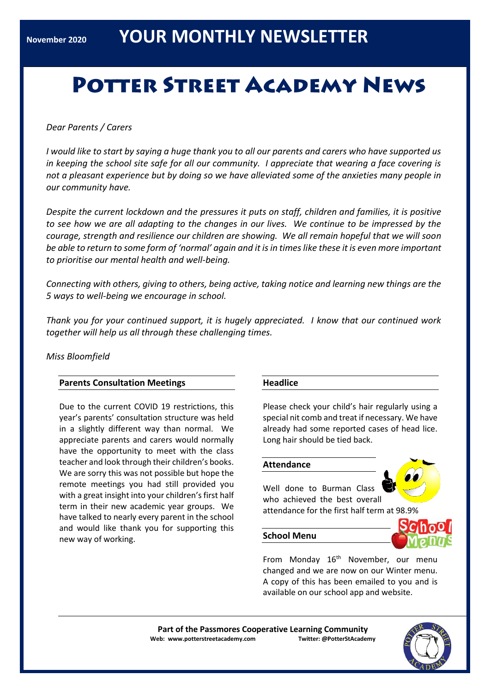# **POTTER STREET ACADEMY NEWS**

*Dear Parents / Carers*

*I would like to start by saying a huge thank you to all our parents and carers who have supported us in keeping the school site safe for all our community. I appreciate that wearing a face covering is not a pleasant experience but by doing so we have alleviated some of the anxieties many people in our community have.*

*Despite the current lockdown and the pressures it puts on staff, children and families, it is positive to see how we are all adapting to the changes in our lives. We continue to be impressed by the courage, strength and resilience our children are showing. We all remain hopeful that we will soon be able to return to some form of 'normal' again and it is in times like these it is even more important to prioritise our mental health and well-being.*

*Connecting with others, giving to others, being active, taking notice and learning new things are the 5 ways to well-being we encourage in school.*

*Thank you for your continued support, it is hugely appreciated. I know that our continued work together will help us all through these challenging times.*

# *Miss Bloomfield*

## **Parents Consultation Meetings**

Due to the current COVID 19 restrictions, this year's parents' consultation structure was held in a slightly different way than normal. We appreciate parents and carers would normally have the opportunity to meet with the class teacher and look through their children's books. We are sorry this was not possible but hope the remote meetings you had still provided you with a great insight into your children's first half term in their new academic year groups. We have talked to nearly every parent in the school and would like thank you for supporting this new way of working.

## **Headlice**

Please check your child's hair regularly using a special nit comb and treat if necessary. We have already had some reported cases of head lice. Long hair should be tied back.

## **Attendance**

Well done to Burman Class who achieved the best overall attendance for the first half term at 98.9%

#### **School Menu**



From Monday 16<sup>th</sup> November, our menu changed and we are now on our Winter menu. A copy of this has been emailed to you and is available on our school app and website.

**Part of the Passmores Cooperative Learning Community Web: www.potterstreetacademy.com Twitter: @PotterStAcademy**

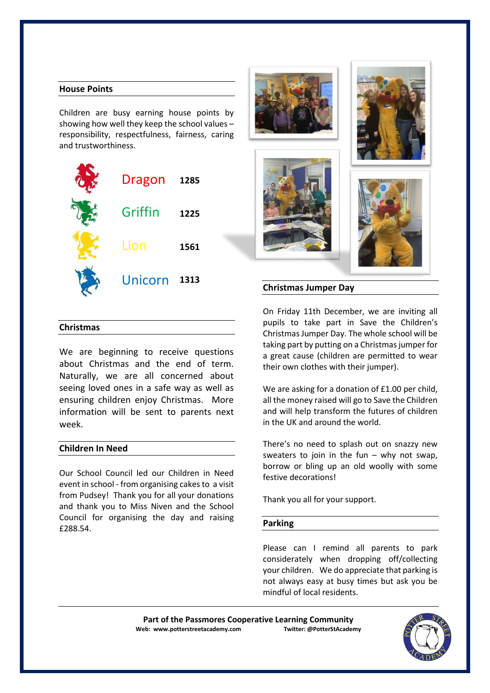## **House Points**

Children are busy earning house points by showing how well they keep the school values – responsibility, respectfulness, fairness, caring and trustworthiness.

| Dragon  | 1285 |
|---------|------|
| Griffin | 1225 |
| Lion    | 1561 |
| Unicorn | 1313 |



## **Christmas**

We are beginning to receive questions about Christmas and the end of term. Naturally, we are all concerned about seeing loved ones in a safe way as well as ensuring children enjoy Christmas. More information will be sent to parents next week.

## **Children In Need**

Our School Council led our Children in Need event in school - from organising cakes to a visit from Pudsey! Thank you for all your donations and thank you to Miss Niven and the School Council for organising the day and raising £288.54.

On Friday 11th December, we are inviting all pupils to take part in Save the Children's Christmas Jumper Day. The whole school will be taking part by putting on a Christmas jumper for a great cause (children are permitted to wear their own clothes with their jumper).

We are asking for a donation of £1.00 per child, all the money raised will go to Save the Children and will help transform the futures of children in the UK and around the world.

There's no need to splash out on snazzy new sweaters to join in the fun  $-$  why not swap. borrow or bling up an old woolly with some festive decorations!

Thank you all for your support.

#### **Parking**

Please can I remind all parents to park considerately when dropping off/collecting your children. We do appreciate that parking is not always easy at busy times but ask you be mindful of local residents.

Part of the Passmores Cooperative Learning Community<br>eb: www.potterstreetacademy.com **Twitter:** @PotterStAcademy **Web: www.potterstreetacademy.com** 

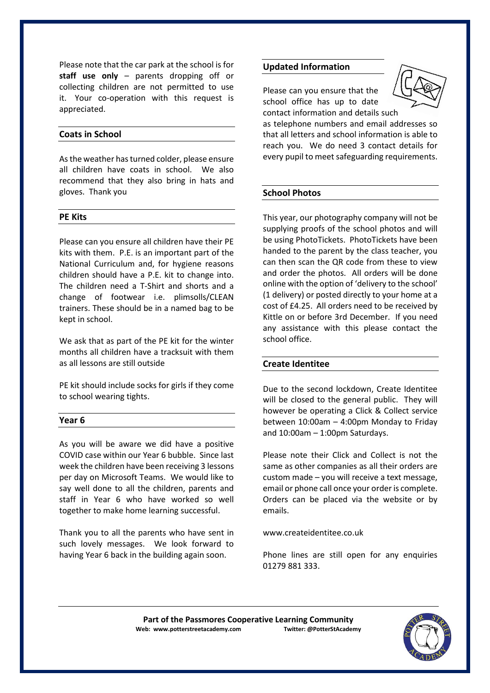Please note that the car park at the school is for **staff use only** – parents dropping off or collecting children are not permitted to use it. Your co-operation with this request is appreciated.

## **Coats in School**

As the weather has turned colder, please ensure all children have coats in school. We also recommend that they also bring in hats and gloves. Thank you

#### **PE Kits**

Please can you ensure all children have their PE kits with them. P.E. is an important part of the National Curriculum and, for hygiene reasons children should have a P.E. kit to change into. The children need a T-Shirt and shorts and a change of footwear i.e. plimsolls/CLEAN trainers. These should be in a named bag to be kept in school.

We ask that as part of the PE kit for the winter months all children have a tracksuit with them as all lessons are still outside

PE kit should include socks for girls if they come to school wearing tights.

#### **Year 6**

As you will be aware we did have a positive COVID case within our Year 6 bubble. Since last week the children have been receiving 3 lessons per day on Microsoft Teams. We would like to say well done to all the children, parents and staff in Year 6 who have worked so well together to make home learning successful.

Thank you to all the parents who have sent in such lovely messages. We look forward to having Year 6 back in the building again soon.

#### **Updated Information**

Please can you ensure that the school office has up to date contact information and details s[uch](https://www.bing.com/images/search?view=detailV2&ccid=JyVhU%2bDO&id=EFA7FE29AD24CC4B2453E2BA1E17A7BAADA6FE6B&thid=OIP.JyVhU-DOmvWSzoTlAKGB6gHaGH&mediaurl=http://moziru.com/images/telephone-clipart-contact-information-5.png&exph=660&expw=800&q=telephone+email+clipart&simid=608039905738492293&selectedIndex=0) 



as telephone numbers and email addresses so that all letters and school information is able to reach you. We do need 3 contact details for every pupil to meet safeguarding requirements.

## **School Photos**

This year, our photography company will not be supplying proofs of the school photos and will be using PhotoTickets. PhotoTickets have been handed to the parent by the class teacher, you can then scan the QR code from these to view and order the photos. All orders will be done online with the option of 'delivery to the school' (1 delivery) or posted directly to your home at a cost of £4.25. All orders need to be received by Kittle on or before 3rd December. If you need any assistance with this please contact the school office.

## **Create Identitee**

Due to the second lockdown, Create Identitee will be closed to the general public. They will however be operating a Click & Collect service between 10:00am – 4:00pm Monday to Friday and  $10:00$ am  $-1:00$ pm Saturdays.

Please note their Click and Collect is not the same as other companies as all their orders are custom made – you will receive a text message, email or phone call once your order is complete. Orders can be placed via the website or by emails.

[www.createidentitee.co.uk](http://www.createidentitee.co.uk/)

Phone lines are still open for any enquiries 01279 881 333.